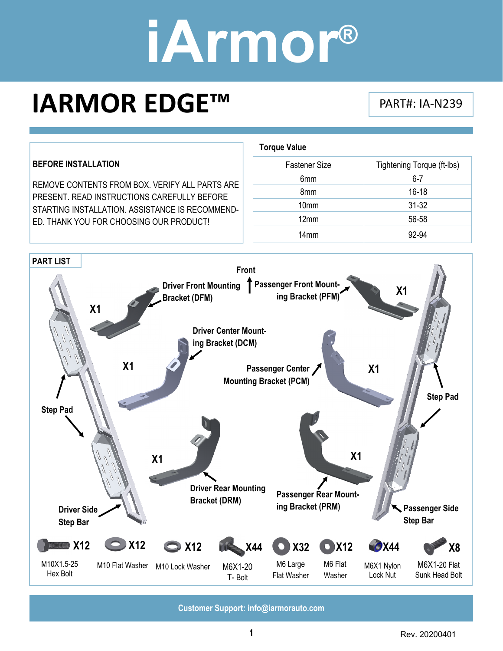# **iArmor®**

**Torque Value** 

### **IARMOR EDGE™** PART#: IA‐N239

#### **BEFORE INSTALLATION**  REMOVE CONTENTS FROM BOX. VERIFY ALL PARTS ARE PRESENT. READ INSTRUCTIONS CAREFULLY BEFORE STARTING INSTALLATION. ASSISTANCE IS RECOMMEND-ED. THANK YOU FOR CHOOSING OUR PRODUCT!

| <b>Fastener Size</b> | Tightening Torque (ft-lbs) |
|----------------------|----------------------------|
| 6mm                  | $6 - 7$                    |
| 8mm                  | $16 - 18$                  |
| 10mm                 | $31 - 32$                  |
| 12mm                 | 56-58                      |
| 14 <sub>mm</sub>     | 92-94                      |

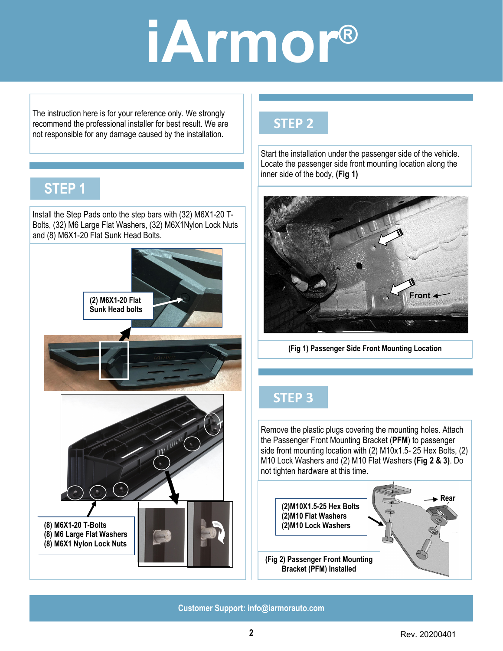### **iArmor®**

The instruction here is for your reference only. We strongly recommend the professional installer for best result. We are not responsible for any damage caused by the installation.

### **STEP 1**

Install the Step Pads onto the step bars with (32) M6X1-20 T-Bolts, (32) M6 Large Flat Washers, (32) M6X1Nylon Lock Nuts and (8) M6X1-20 Flat Sunk Head Bolts.



### **STEP 2**

Start the installation under the passenger side of the vehicle. Locate the passenger side front mounting location along the inner side of the body, **(Fig 1)** 



**(Fig 1) Passenger Side Front Mounting Location** 

### **STEP 3**

Remove the plastic plugs covering the mounting holes. Attach the Passenger Front Mounting Bracket (**PFM**) to passenger side front mounting location with (2) M10x1.5- 25 Hex Bolts, (2) M10 Lock Washers and (2) M10 Flat Washers **(Fig 2 & 3)**. Do not tighten hardware at this time.

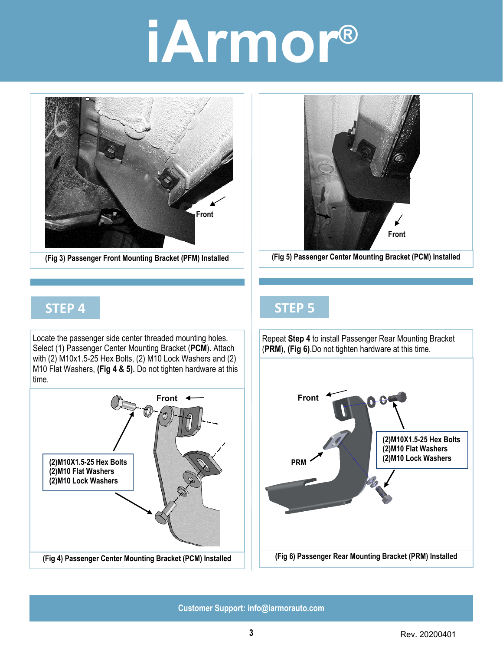# **iArmor®**



**(Fig 3) Passenger Front Mounting Bracket (PFM) Installed** 



**(Fig 5) Passenger Center Mounting Bracket (PCM) Installed** 

#### **STEP 4**

Locate the passenger side center threaded mounting holes. Select (1) Passenger Center Mounting Bracket (**PCM**). Attach with (2) M10x1.5-25 Hex Bolts, (2) M10 Lock Washers and (2) M10 Flat Washers, **(Fig 4 & 5).** Do not tighten hardware at this time.



### **STEP 5**